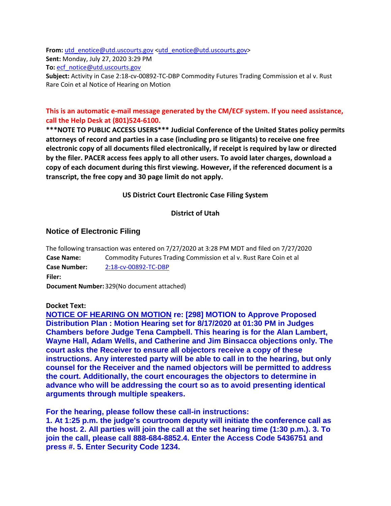From: [utd\\_enotice@utd.uscourts.gov](mailto:utd_enotice@utd.uscourts.gov)[<utd\\_enotice@utd.uscourts.gov>](mailto:utd_enotice@utd.uscourts.gov) **Sent:** Monday, July 27, 2020 3:29 PM **To:** [ecf\\_notice@utd.uscourts.gov](mailto:ecf_notice@utd.uscourts.gov)

**Subject:** Activity in Case 2:18-cv-00892-TC-DBP Commodity Futures Trading Commission et al v. Rust Rare Coin et al Notice of Hearing on Motion

# **This is an automatic e-mail message generated by the CM/ECF system. If you need assistance, call the Help Desk at (801)524-6100.**

**\*\*\*NOTE TO PUBLIC ACCESS USERS\*\*\* Judicial Conference of the United States policy permits attorneys of record and parties in a case (including pro se litigants) to receive one free electronic copy of all documents filed electronically, if receipt is required by law or directed by the filer. PACER access fees apply to all other users. To avoid later charges, download a copy of each document during this first viewing. However, if the referenced document is a transcript, the free copy and 30 page limit do not apply.**

**US District Court Electronic Case Filing System**

## **District of Utah**

## **Notice of Electronic Filing**

The following transaction was entered on 7/27/2020 at 3:28 PM MDT and filed on 7/27/2020 **Case Name:** Commodity Futures Trading Commission et al v. Rust Rare Coin et al **Case Number:** [2:18-cv-00892-TC-DBP](https://protect-us.mimecast.com/s/rObrCOY27XiG9ppSEib0r?domain=ecf.utd.uscourts.gov) **Filer: Document Number:**329(No document attached)

#### **Docket Text:**

**NOTICE OF HEARING ON MOTION re: [298] MOTION to Approve Proposed Distribution Plan : Motion Hearing set for 8/17/2020 at 01:30 PM in Judges Chambers before Judge Tena Campbell. This hearing is for the Alan Lambert, Wayne Hall, Adam Wells, and Catherine and Jim Binsacca objections only. The court asks the Receiver to ensure all objectors receive a copy of these instructions. Any interested party will be able to call in to the hearing, but only counsel for the Receiver and the named objectors will be permitted to address the court. Additionally, the court encourages the objectors to determine in advance who will be addressing the court so as to avoid presenting identical arguments through multiple speakers.**

**For the hearing, please follow these call-in instructions:**

**1. At 1:25 p.m. the judge's courtroom deputy will initiate the conference call as the host. 2. All parties will join the call at the set hearing time (1:30 p.m.). 3. To join the call, please call 888-684-8852.4. Enter the Access Code 5436751 and press #. 5. Enter Security Code 1234.**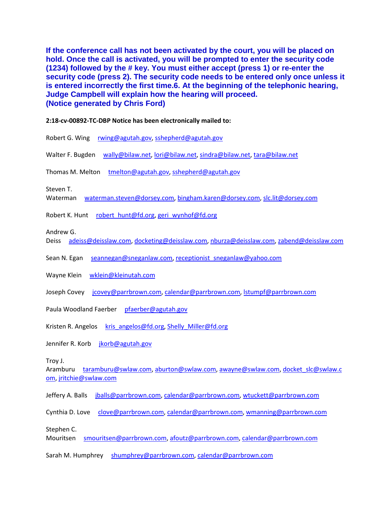**If the conference call has not been activated by the court, you will be placed on hold. Once the call is activated, you will be prompted to enter the security code (1234) followed by the # key. You must either accept (press 1) or re-enter the security code (press 2). The security code needs to be entered only once unless it is entered incorrectly the first time.6. At the beginning of the telephonic hearing, Judge Campbell will explain how the hearing will proceed. (Notice generated by Chris Ford)**

#### **2:18-cv-00892-TC-DBP Notice has been electronically mailed to:**

- Robert G. Wing [rwing@agutah.gov,](mailto:rwing@agutah.gov) [sshepherd@agutah.gov](mailto:sshepherd@agutah.gov)
- Walter F. Bugden [wally@bilaw.net,](mailto:wally@bilaw.net) [lori@bilaw.net,](mailto:lori@bilaw.net) [sindra@bilaw.net,](mailto:sindra@bilaw.net) [tara@bilaw.net](mailto:tara@bilaw.net)

Thomas M. Melton [tmelton@agutah.gov,](mailto:tmelton@agutah.gov) [sshepherd@agutah.gov](mailto:sshepherd@agutah.gov)

Steven T.

Waterman [waterman.steven@dorsey.com,](mailto:waterman.steven@dorsey.com) [bingham.karen@dorsey.com,](mailto:bingham.karen@dorsey.com) [slc.lit@dorsey.com](mailto:slc.lit@dorsey.com)

Robert K. Hunt [robert\\_hunt@fd.org,](mailto:robert_hunt@fd.org) [geri\\_wynhof@fd.org](mailto:geri_wynhof@fd.org)

Andrew G.

Deiss [adeiss@deisslaw.com,](mailto:adeiss@deisslaw.com) [docketing@deisslaw.com,](mailto:docketing@deisslaw.com) [nburza@deisslaw.com,](mailto:nburza@deisslaw.com) [zabend@deisslaw.com](mailto:zabend@deisslaw.com)

Sean N. Egan [seannegan@sneganlaw.com,](mailto:seannegan@sneganlaw.com) [receptionist\\_sneganlaw@yahoo.com](mailto:receptionist_sneganlaw@yahoo.com)

Wayne Klein [wklein@kleinutah.com](mailto:wklein@kleinutah.com)

Joseph Covey [jcovey@parrbrown.com,](mailto:jcovey@parrbrown.com) [calendar@parrbrown.com,](mailto:calendar@parrbrown.com) [lstumpf@parrbrown.com](mailto:lstumpf@parrbrown.com)

Paula Woodland Faerber [pfaerber@agutah.gov](mailto:pfaerber@agutah.gov)

Kristen R. Angelos [kris\\_angelos@fd.org,](mailto:kris_angelos@fd.org) [Shelly\\_Miller@fd.org](mailto:Shelly_Miller@fd.org)

Jennifer R. Korb [jkorb@agutah.gov](mailto:jkorb@agutah.gov)

Troy J.

Aramburu [taramburu@swlaw.com,](mailto:taramburu@swlaw.com) [aburton@swlaw.com,](mailto:aburton@swlaw.com) [awayne@swlaw.com,](mailto:awayne@swlaw.com) [docket\\_slc@swlaw.c](mailto:docket_slc@swlaw.com) [om,](mailto:docket_slc@swlaw.com) [jritchie@swlaw.com](mailto:jritchie@swlaw.com)

Jeffery A. Balls [jballs@parrbrown.com,](mailto:jballs@parrbrown.com) [calendar@parrbrown.com,](mailto:calendar@parrbrown.com) [wtuckett@parrbrown.com](mailto:wtuckett@parrbrown.com)

Cynthia D. Love [clove@parrbrown.com,](mailto:clove@parrbrown.com) [calendar@parrbrown.com,](mailto:calendar@parrbrown.com) [wmanning@parrbrown.com](mailto:wmanning@parrbrown.com)

Stephen C.

Mouritsen [smouritsen@parrbrown.com,](mailto:smouritsen@parrbrown.com) [afoutz@parrbrown.com,](mailto:afoutz@parrbrown.com) [calendar@parrbrown.com](mailto:calendar@parrbrown.com)

Sarah M. Humphrey [shumphrey@parrbrown.com,](mailto:shumphrey@parrbrown.com) [calendar@parrbrown.com](mailto:calendar@parrbrown.com)